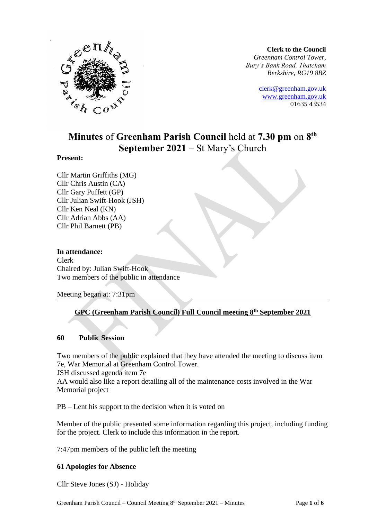

**Clerk to the Council** *Greenham Control Tower, Bury's Bank Road, Thatcham Berkshire, RG19 8BZ*

> [clerk@greenham.gov.uk](mailto:clerk@greenham.gov.uk) [www.greenham.gov.uk](http://www.greenham.gov.uk/) 01635 43534

# **Minutes** of **Greenham Parish Council** held at **7.30 pm** on **8 th September 2021** – St Mary's Church

#### **Present:**

Cllr Martin Griffiths (MG) Cllr Chris Austin (CA) Cllr Gary Puffett (GP) Cllr Julian Swift-Hook (JSH) Cllr Ken Neal (KN) Cllr Adrian Abbs (AA) Cllr Phil Barnett (PB)

#### **In attendance:**

Clerk Chaired by: Julian Swift-Hook Two members of the public in attendance

Meeting began at: 7:31pm

# **GPC (Greenham Parish Council) Full Council meeting 8th September 2021**

#### **60 Public Session**

Two members of the public explained that they have attended the meeting to discuss item 7e, War Memorial at Greenham Control Tower.

JSH discussed agenda item 7e

AA would also like a report detailing all of the maintenance costs involved in the War Memorial project

PB – Lent his support to the decision when it is voted on

Member of the public presented some information regarding this project, including funding for the project. Clerk to include this information in the report.

7:47pm members of the public left the meeting

#### **61 Apologies for Absence**

Cllr Steve Jones (SJ) - Holiday

Greenham Parish Council – Council Meeting 8<sup>th</sup> September 2021 – Minutes Page 1 of 6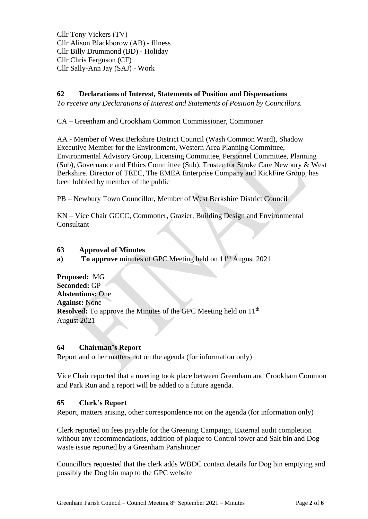Cllr Tony Vickers (TV) Cllr Alison Blackborow (AB) - Illness Cllr Billy Drummond (BD) - Holiday Cllr Chris Ferguson (CF) Cllr Sally-Ann Jay (SAJ) - Work

# **62 Declarations of Interest, Statements of Position and Dispensations**

*To receive any Declarations of Interest and Statements of Position by Councillors.* 

CA – Greenham and Crookham Common Commissioner, Commoner

AA - Member of West Berkshire District Council (Wash Common Ward), Shadow Executive Member for the Environment, Western Area Planning Committee, Environmental Advisory Group, Licensing Committee, Personnel Committee, Planning (Sub), Governance and Ethics Committee (Sub). Trustee for Stroke Care Newbury & West Berkshire. Director of TEEC, The EMEA Enterprise Company and KickFire Group, has been lobbied by member of the public

PB – Newbury Town Councillor, Member of West Berkshire District Council

KN – Vice Chair GCCC, Commoner, Grazier, Building Design and Environmental Consultant

#### **63 Approval of Minutes**

**a) To approve** minutes of GPC Meeting held on 11<sup>th</sup> August 2021

**Proposed:** MG **Seconded:** GP **Abstentions:** One **Against:** None **Resolved:** To approve the Minutes of the GPC Meeting held on 11<sup>th</sup> August 2021

#### **64 Chairman's Report**

Report and other matters not on the agenda (for information only)

Vice Chair reported that a meeting took place between Greenham and Crookham Common and Park Run and a report will be added to a future agenda.

#### **65 Clerk's Report**

Report, matters arising, other correspondence not on the agenda (for information only)

Clerk reported on fees payable for the Greening Campaign, External audit completion without any recommendations, addition of plaque to Control tower and Salt bin and Dog waste issue reported by a Greenham Parishioner

Councillors requested that the clerk adds WBDC contact details for Dog bin emptying and possibly the Dog bin map to the GPC website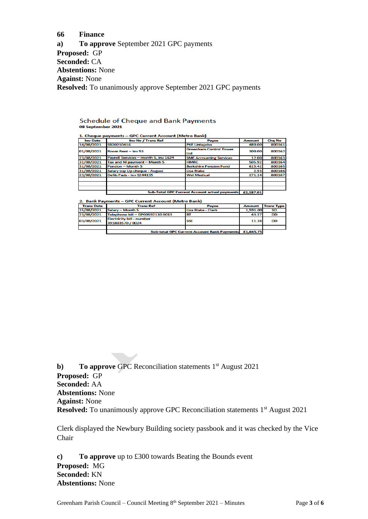#### **66 Finance**

**a) To approve** September 2021 GPC payments **Proposed:** GP **Seconded:** CA **Abstentions:** None **Against:** None **Resolved:** To unanimously approve September 2021 GPC payments

#### **Schedule of Cheque and Bank Payments** 08 September 2021

| <b>Inv Date</b> | Inv No / Trans Ref                                   | <b>Payee</b>                         | <b>Amount</b> | <b>Chg No</b> |
|-----------------|------------------------------------------------------|--------------------------------------|---------------|---------------|
| 14/08/2021      | SB20210416                                           | <b>PKF Littlejohn</b>                | 480.00        | 800161        |
| 01/08/2021      | Room Rent - Inv 53                                   | <b>Greenham Control Tower</b><br>Ltd | 300.00        | 800162        |
| 23/08/2021      | Payroll Services - month 5, inv 1624                 | <b>SME Accounting Services</b>       | 12.00         | 800163        |
| 31/08/2021      | Tax and NI payment - Month 5                         | <b>HMRC</b>                          | 505.92        | 800164        |
| 31/08/2021      | <b>Pension - Month 5</b>                             | <b>Berkshire Pension Fund</b>        | 615.42        | 800165        |
| 31/08/2021      | Salary top Up cheque - August                        | Lisa Blake                           | 2.53          | 800166        |
| 23/08/2021      | Defib Pads - Inv S244135                             | <b>Wel Medical</b>                   | 271.14        | 800167        |
|                 |                                                      |                                      |               |               |
|                 | <b>Sub-Total GPC Current Account actual payments</b> |                                      |               |               |

2. Bank Payments – GPC Current Account (Metro Bank)

| <b>Trans Date</b> | <b>Trans Ref</b>                                                | <b>Pavee</b>       | <b>Amount</b> | <b>Trans Type</b> |  |  |
|-------------------|-----------------------------------------------------------------|--------------------|---------------|-------------------|--|--|
| 15/08/2021        | Salary - Month 5                                                | Lisa Blake - Clerk | 1.591.00      | SΟ                |  |  |
| 23/08/2021        | Telephone bill - GP00592130 0013                                | <b>BT</b>          | 43.37         | DD                |  |  |
| 03/08/2021        | <b>Electricity bill - number</b><br>391803570 / 0024            | <b>SSE</b>         | 11.38         | <b>DD</b>         |  |  |
|                   |                                                                 |                    |               |                   |  |  |
|                   | £1.645.75<br><b>Sub-total GPC Current Account Bank Payments</b> |                    |               |                   |  |  |
|                   |                                                                 |                    |               |                   |  |  |

**b**) **To approve GPC** Reconciliation statements 1<sup>st</sup> August 2021 **Proposed:** GP **Seconded:** AA **Abstentions:** None **Against:** None **Resolved:** To unanimously approve GPC Reconciliation statements 1<sup>st</sup> August 2021

Clerk displayed the Newbury Building society passbook and it was checked by the Vice Chair

**c) To approve** up to £300 towards Beating the Bounds event **Proposed:** MG **Seconded:** KN **Abstentions:** None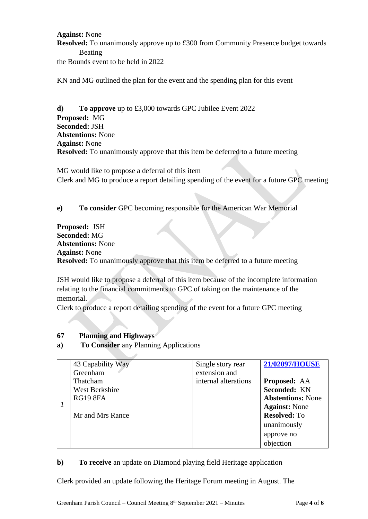### **Against:** None **Resolved:** To unanimously approve up to £300 from Community Presence budget towards Beating the Bounds event to be held in 2022

KN and MG outlined the plan for the event and the spending plan for this event

**d) To approve** up to £3,000 towards GPC Jubilee Event 2022 **Proposed:** MG **Seconded:** JSH **Abstentions:** None **Against:** None **Resolved:** To unanimously approve that this item be deferred to a future meeting

MG would like to propose a deferral of this item Clerk and MG to produce a report detailing spending of the event for a future GPC meeting

**e) To consider** GPC becoming responsible for the American War Memorial

**Proposed:** JSH **Seconded:** MG **Abstentions:** None **Against:** None **Resolved:** To unanimously approve that this item be deferred to a future meeting

JSH would like to propose a deferral of this item because of the incomplete information relating to the financial commitments to GPC of taking on the maintenance of the memorial.

Clerk to produce a report detailing spending of the event for a future GPC meeting

#### **67 Planning and Highways**

**a) To Consider** any Planning Applications

|  | 43 Capability Way | Single story rear    | 21/02097/HOUSE           |
|--|-------------------|----------------------|--------------------------|
|  | Greenham          | extension and        |                          |
|  | Thatcham          | internal alterations | <b>Proposed: AA</b>      |
|  | West Berkshire    |                      | Seconded: KN             |
|  | <b>RG19 8FA</b>   |                      | <b>Abstentions: None</b> |
|  |                   |                      | <b>Against:</b> None     |
|  | Mr and Mrs Rance  |                      | <b>Resolved: To</b>      |
|  |                   |                      | unanimously              |
|  |                   |                      | approve no               |
|  |                   |                      | objection                |

#### **b) To receive** an update on Diamond playing field Heritage application

Clerk provided an update following the Heritage Forum meeting in August. The

Greenham Parish Council – Council Meeting 8<sup>th</sup> September 2021 – Minutes Page 4 of 6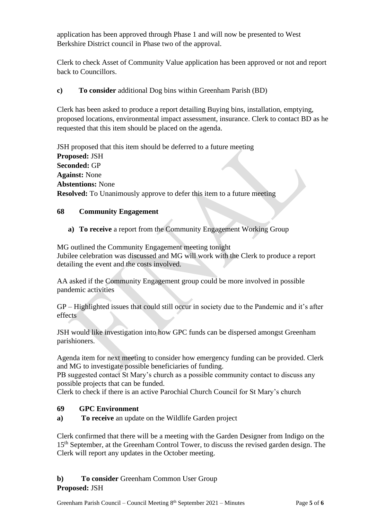application has been approved through Phase 1 and will now be presented to West Berkshire District council in Phase two of the approval.

Clerk to check Asset of Community Value application has been approved or not and report back to Councillors.

# **c) To consider** additional Dog bins within Greenham Parish (BD)

Clerk has been asked to produce a report detailing Buying bins, installation, emptying, proposed locations, environmental impact assessment, insurance. Clerk to contact BD as he requested that this item should be placed on the agenda.

JSH proposed that this item should be deferred to a future meeting **Proposed:** JSH **Seconded:** GP **Against:** None **Abstentions:** None **Resolved:** To Unanimously approve to defer this item to a future meeting

#### **68 Community Engagement**

**a) To receive** a report from the Community Engagement Working Group

MG outlined the Community Engagement meeting tonight Jubilee celebration was discussed and MG will work with the Clerk to produce a report detailing the event and the costs involved.

AA asked if the Community Engagement group could be more involved in possible pandemic activities

GP – Highlighted issues that could still occur in society due to the Pandemic and it's after effects

JSH would like investigation into how GPC funds can be dispersed amongst Greenham parishioners.

Agenda item for next meeting to consider how emergency funding can be provided. Clerk and MG to investigate possible beneficiaries of funding.

PB suggested contact St Mary's church as a possible community contact to discuss any possible projects that can be funded.

Clerk to check if there is an active Parochial Church Council for St Mary's church

#### **69 GPC Environment**

**a) To receive** an update on the Wildlife Garden project

Clerk confirmed that there will be a meeting with the Garden Designer from Indigo on the 15<sup>th</sup> September, at the Greenham Control Tower, to discuss the revised garden design. The Clerk will report any updates in the October meeting.

# **b**) **To consider** Greenham Common User Group **Proposed:** JSH

Greenham Parish Council – Council Meeting 8<sup>th</sup> September 2021 – Minutes Page 5 of 6